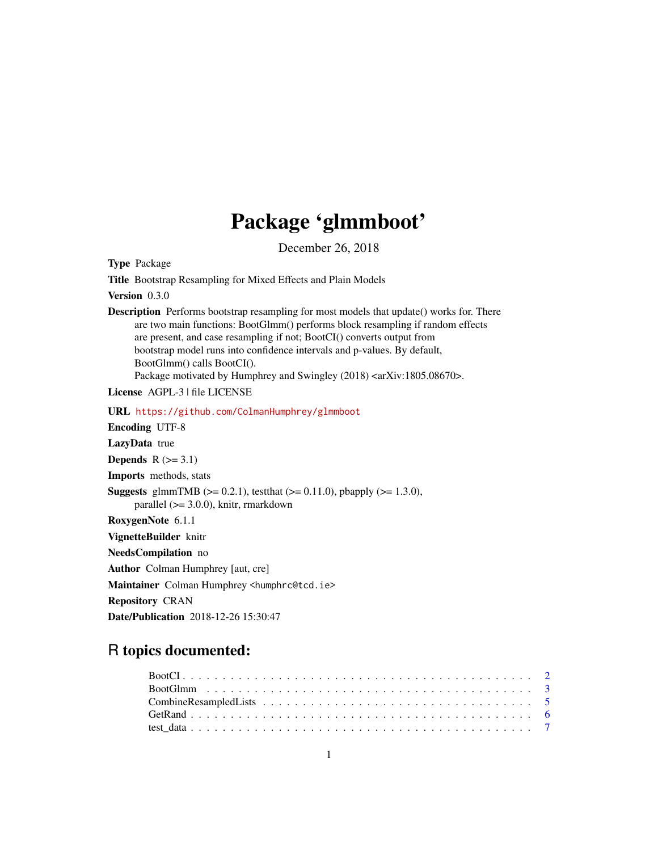## Package 'glmmboot'

December 26, 2018

Title Bootstrap Resampling for Mixed Effects and Plain Models Version 0.3.0 Description Performs bootstrap resampling for most models that update() works for. There are two main functions: BootGlmm() performs block resampling if random effects are present, and case resampling if not; BootCI() converts output from bootstrap model runs into confidence intervals and p-values. By default, BootGlmm() calls BootCI(). Package motivated by Humphrey and Swingley (2018) <arXiv:1805.08670>. License AGPL-3 | file LICENSE URL <https://github.com/ColmanHumphrey/glmmboot> Encoding UTF-8 LazyData true Depends  $R$  ( $>= 3.1$ ) Imports methods, stats **Suggests** glmmTMB ( $>= 0.2.1$ ), test that ( $>= 0.11.0$ ), pbapply ( $>= 1.3.0$ ), parallel (>= 3.0.0), knitr, rmarkdown RoxygenNote 6.1.1 VignetteBuilder knitr NeedsCompilation no Author Colman Humphrey [aut, cre] Maintainer Colman Humphrey <humphrc@tcd.ie> Repository CRAN Date/Publication 2018-12-26 15:30:47

### R topics documented:

Type Package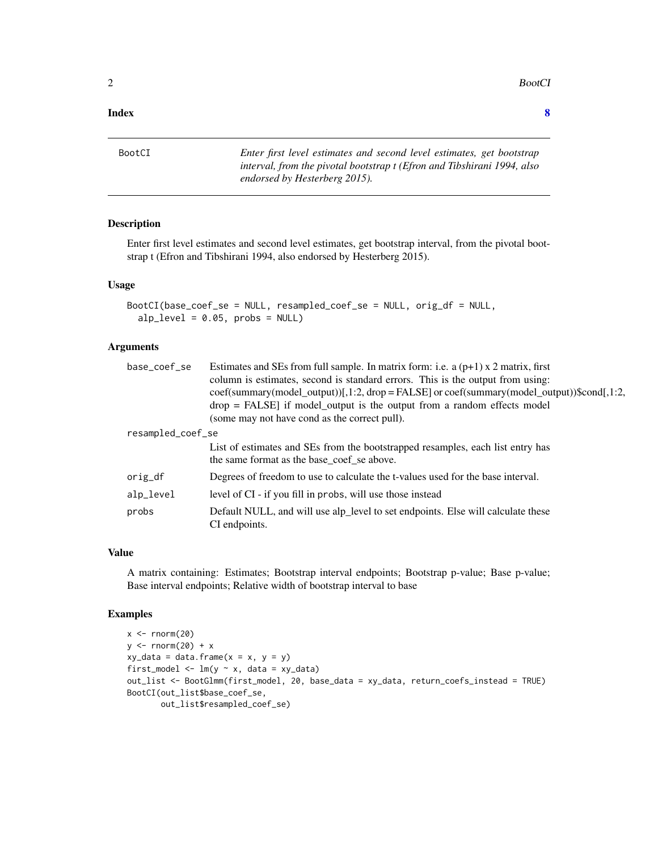<span id="page-1-0"></span>2 BootCl

#### **Index** [8](#page-7-0) **8**

BootCI *Enter first level estimates and second level estimates, get bootstrap interval, from the pivotal bootstrap t (Efron and Tibshirani 1994, also endorsed by Hesterberg 2015).*

#### Description

Enter first level estimates and second level estimates, get bootstrap interval, from the pivotal bootstrap t (Efron and Tibshirani 1994, also endorsed by Hesterberg 2015).

#### Usage

```
BootCI(base_coef_se = NULL, resampled_coef_se = NULL, orig_df = NULL,
  alp_{level} = 0.05, probs = NULL)
```
#### **Arguments**

| base_coef_se      | Estimates and SEs from full sample. In matrix form: i.e. a $(p+1)$ x 2 matrix, first                                         |
|-------------------|------------------------------------------------------------------------------------------------------------------------------|
|                   | column is estimates, second is standard errors. This is the output from using:                                               |
|                   | $coeff(summary(model\_output))[1:2, drop = FALSE]$ or $coeff(summary(model\_output))$ \$cond $[1:2,$                         |
|                   | $drop = FALSE$ if model_output is the output from a random effects model                                                     |
|                   | (some may not have cond as the correct pull).                                                                                |
| resampled_coef_se |                                                                                                                              |
|                   | List of estimates and SEs from the bootstrapped resamples, each list entry has<br>the same format as the base_coef_se above. |
| orig_df           | Degrees of freedom to use to calculate the t-values used for the base interval.                                              |
| alp_level         | level of CI - if you fill in probs, will use those instead                                                                   |
| probs             | Default NULL, and will use alp_level to set endpoints. Else will calculate these<br>CI endpoints.                            |

#### Value

A matrix containing: Estimates; Bootstrap interval endpoints; Bootstrap p-value; Base p-value; Base interval endpoints; Relative width of bootstrap interval to base

```
x < - rnorm(20)
y \le - rnorm(20) + x
xy_data = data-frame(x = x, y = y)first_model <- lm(y \sim x, data = xy_data)out_list <- BootGlmm(first_model, 20, base_data = xy_data, return_coefs_instead = TRUE)
BootCI(out_list$base_coef_se,
       out_list$resampled_coef_se)
```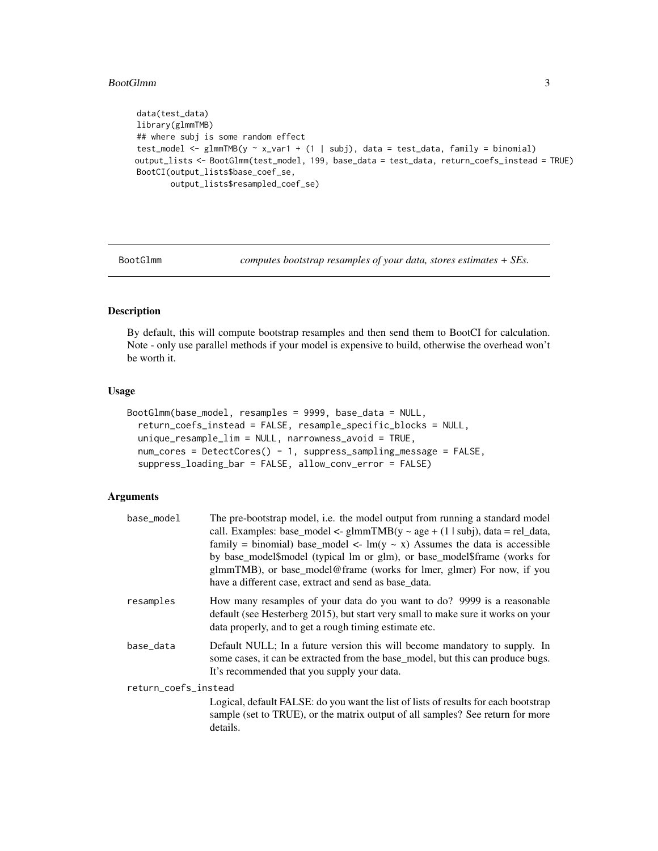#### <span id="page-2-0"></span>BootGlmm 3

```
data(test_data)
library(glmmTMB)
## where subj is some random effect
test_model <- glmmTMB(y ~ x_var1 + (1 | subj), data = test_data, family = binomial)
output_lists <- BootGlmm(test_model, 199, base_data = test_data, return_coefs_instead = TRUE)
BootCI(output_lists$base_coef_se,
       output_lists$resampled_coef_se)
```
BootGlmm *computes bootstrap resamples of your data, stores estimates + SEs.*

#### Description

By default, this will compute bootstrap resamples and then send them to BootCI for calculation. Note - only use parallel methods if your model is expensive to build, otherwise the overhead won't be worth it.

#### Usage

```
BootGlmm(base_model, resamples = 9999, base_data = NULL,
  return_coefs_instead = FALSE, resample_specific_blocks = NULL,
  unique_resample_lim = NULL, narrowness_avoid = TRUE,
  num_cores = DetectCores() - 1, suppress_sampling_message = FALSE,
  suppress_loading_bar = FALSE, allow_conv_error = FALSE)
```
#### Arguments

| base_model           | The pre-bootstrap model, i.e. the model output from running a standard model<br>call. Examples: base_model <- $\text{glmmTMB}(y \sim \text{age} + (1 \mid \text{subj})$ , data = rel_data,<br>family = binomial) base_model <- $\text{Im}(y \sim x)$ Assumes the data is accessible<br>by base_model\$model (typical lm or glm), or base_model\$frame (works for<br>glmmTMB), or base_model@frame (works for lmer, glmer) For now, if you<br>have a different case, extract and send as base data. |
|----------------------|----------------------------------------------------------------------------------------------------------------------------------------------------------------------------------------------------------------------------------------------------------------------------------------------------------------------------------------------------------------------------------------------------------------------------------------------------------------------------------------------------|
| resamples            | How many resamples of your data do you want to do? 9999 is a reasonable<br>default (see Hesterberg 2015), but start very small to make sure it works on your<br>data properly, and to get a rough timing estimate etc.                                                                                                                                                                                                                                                                             |
| base_data            | Default NULL; In a future version this will become mandatory to supply. In<br>some cases, it can be extracted from the base_model, but this can produce bugs.<br>It's recommended that you supply your data.                                                                                                                                                                                                                                                                                       |
| return_coefs_instead |                                                                                                                                                                                                                                                                                                                                                                                                                                                                                                    |
|                      | Logical, default FALSE: do you want the list of lists of results for each bootstrap<br>sample (set to TRUE), or the matrix output of all samples? See return for more<br>details.                                                                                                                                                                                                                                                                                                                  |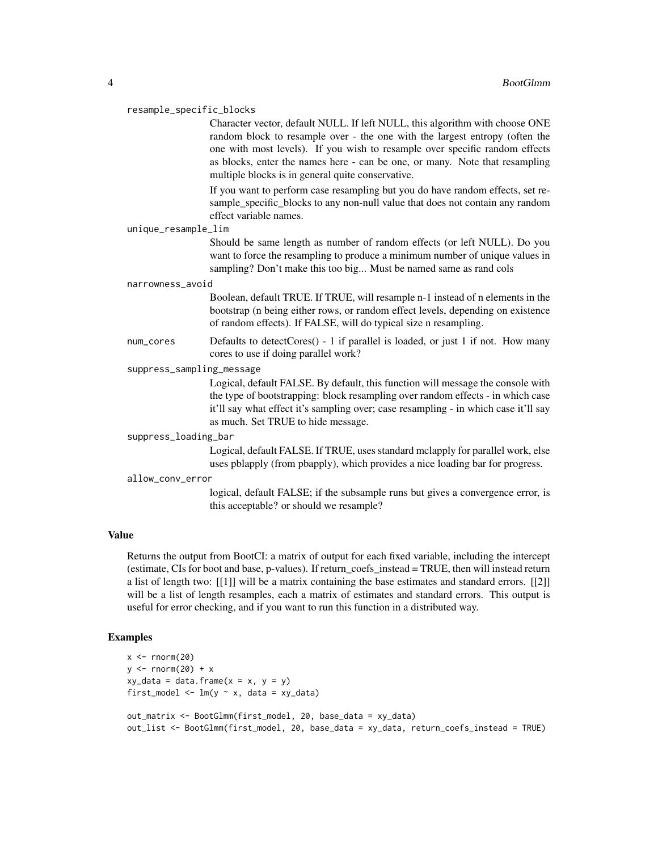#### resample\_specific\_blocks

Character vector, default NULL. If left NULL, this algorithm with choose ONE random block to resample over - the one with the largest entropy (often the one with most levels). If you wish to resample over specific random effects as blocks, enter the names here - can be one, or many. Note that resampling multiple blocks is in general quite conservative.

If you want to perform case resampling but you do have random effects, set resample specific blocks to any non-null value that does not contain any random effect variable names.

#### unique\_resample\_lim

Should be same length as number of random effects (or left NULL). Do you want to force the resampling to produce a minimum number of unique values in sampling? Don't make this too big... Must be named same as rand cols

#### narrowness\_avoid

Boolean, default TRUE. If TRUE, will resample n-1 instead of n elements in the bootstrap (n being either rows, or random effect levels, depending on existence of random effects). If FALSE, will do typical size n resampling.

- num\_cores Defaults to detectCores() 1 if parallel is loaded, or just 1 if not. How many cores to use if doing parallel work?
- suppress\_sampling\_message

Logical, default FALSE. By default, this function will message the console with the type of bootstrapping: block resampling over random effects - in which case it'll say what effect it's sampling over; case resampling - in which case it'll say as much. Set TRUE to hide message.

#### suppress\_loading\_bar

Logical, default FALSE. If TRUE, uses standard mclapply for parallel work, else uses pblapply (from pbapply), which provides a nice loading bar for progress.

#### allow\_conv\_error

logical, default FALSE; if the subsample runs but gives a convergence error, is this acceptable? or should we resample?

#### Value

Returns the output from BootCI: a matrix of output for each fixed variable, including the intercept (estimate, CIs for boot and base, p-values). If return\_coefs\_instead = TRUE, then will instead return a list of length two: [[1]] will be a matrix containing the base estimates and standard errors. [[2]] will be a list of length resamples, each a matrix of estimates and standard errors. This output is useful for error checking, and if you want to run this function in a distributed way.

```
x < - rnorm(20)
y \le - rnorm(20) + x
xy_data = data.frame(x = x, y = y)first_model <- lm(y \sim x, data = xy_data)out_matrix <- BootGlmm(first_model, 20, base_data = xy_data)
out_list <- BootGlmm(first_model, 20, base_data = xy_data, return_coefs_instead = TRUE)
```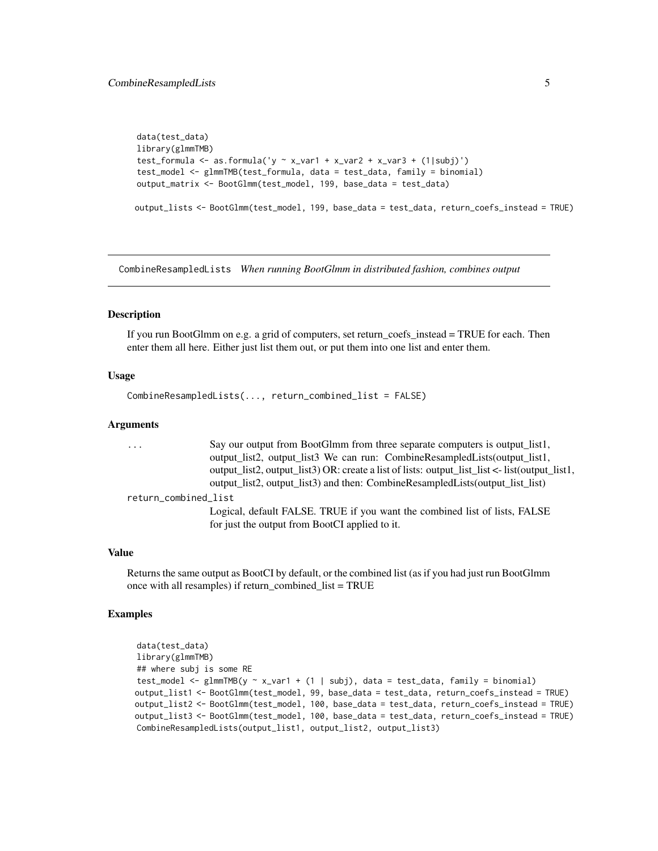```
data(test_data)
library(glmmTMB)
test_formula <- as.formula('y \sim x_var1 + x_var2 + x_var3 + (1|subj)')
test_model <- glmmTMB(test_formula, data = test_data, family = binomial)
output_matrix <- BootGlmm(test_model, 199, base_data = test_data)
output_lists <- BootGlmm(test_model, 199, base_data = test_data, return_coefs_instead = TRUE)
```
CombineResampledLists *When running BootGlmm in distributed fashion, combines output*

#### Description

If you run BootGlmm on e.g. a grid of computers, set return\_coefs\_instead = TRUE for each. Then enter them all here. Either just list them out, or put them into one list and enter them.

#### Usage

```
CombineResampledLists(..., return_combined_list = FALSE)
```
#### Arguments

| $\cdot$ $\cdot$ $\cdot$ | Say our output from BootGlmm from three separate computers is output list1,                    |
|-------------------------|------------------------------------------------------------------------------------------------|
|                         | output list2, output list3 We can run: CombineResampledLists(output list1,                     |
|                         | output_list2, output_list3) OR: create a list of lists: output_list_list <- list(output_list1, |
|                         | output_list2, output_list3) and then: CombineResampledLists(output_list_list)                  |
| return_combined_list    |                                                                                                |
|                         | Logical, default FALSE. TRUE if you want the combined list of lists, FALSE                     |
|                         | for just the output from BootCI applied to it.                                                 |

#### Value

Returns the same output as BootCI by default, or the combined list (as if you had just run BootGlmm once with all resamples) if return\_combined\_list = TRUE

```
data(test_data)
library(glmmTMB)
## where subj is some RE
test_model <- glmmTMB(y ~ x_var1 + (1 | subj), data = test_data, family = binomial)
output_list1 <- BootGlmm(test_model, 99, base_data = test_data, return_coefs_instead = TRUE)
output_list2 <- BootGlmm(test_model, 100, base_data = test_data, return_coefs_instead = TRUE)
output_list3 <- BootGlmm(test_model, 100, base_data = test_data, return_coefs_instead = TRUE)
CombineResampledLists(output_list1, output_list2, output_list3)
```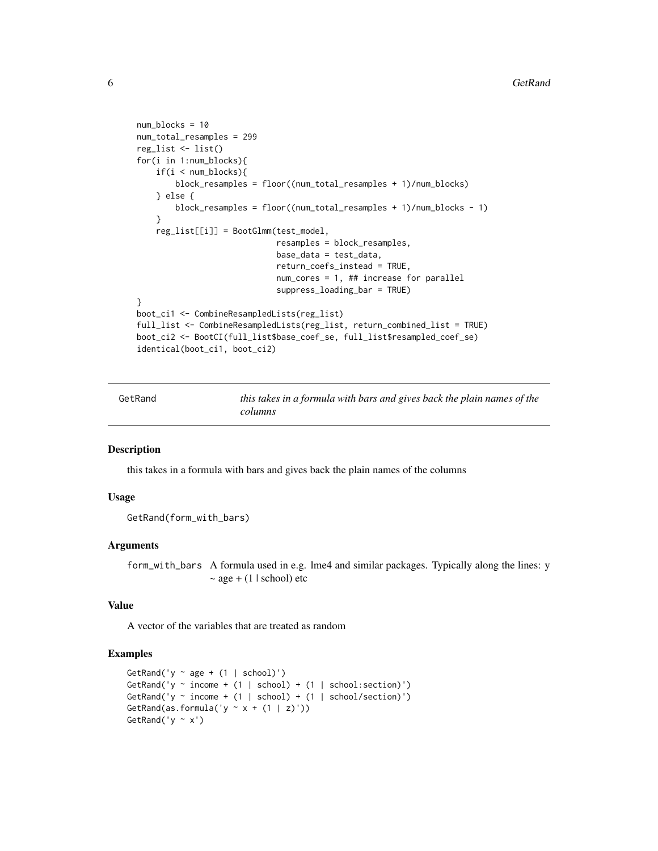```
num_blocks = 10
num_total_resamples = 299
reg_list <- list()
for(i in 1:num_blocks){
    if(i < num_blocks){
       block_resamples = floor((num_total_resamples + 1)/num_blocks)
    } else {
        block_resamples = floor((num_total_resamples + 1)/num_blocks - 1)
    }
    reg_list[[i]] = BootGlmm(test_model,
                             resamples = block_resamples,
                             base_data = test_data,
                             return_coefs_instead = TRUE,
                             num_cores = 1, ## increase for parallel
                             suppress_loading_bar = TRUE)
}
boot_ci1 <- CombineResampledLists(reg_list)
full_list <- CombineResampledLists(reg_list, return_combined_list = TRUE)
boot_ci2 <- BootCI(full_list$base_coef_se, full_list$resampled_coef_se)
identical(boot_ci1, boot_ci2)
```

| GetRand | this takes in a formula with bars and gives back the plain names of the |
|---------|-------------------------------------------------------------------------|
|         | columns                                                                 |

#### Description

this takes in a formula with bars and gives back the plain names of the columns

#### Usage

```
GetRand(form_with_bars)
```
#### Arguments

form\_with\_bars A formula used in e.g. lme4 and similar packages. Typically along the lines: y  $\sim$  age + (1 | school) etc

#### Value

A vector of the variables that are treated as random

```
GetRand('y \sim age + (1 | school)')
GetRand('y ~ income + (1 | school) + (1 | school:section)')
GetRand('y ~ income + (1 | school) + (1 | school/section)')
GetRand(as.formula('y \sim x + (1 | z)'))
GetRand('y \sim x')
```
<span id="page-5-0"></span>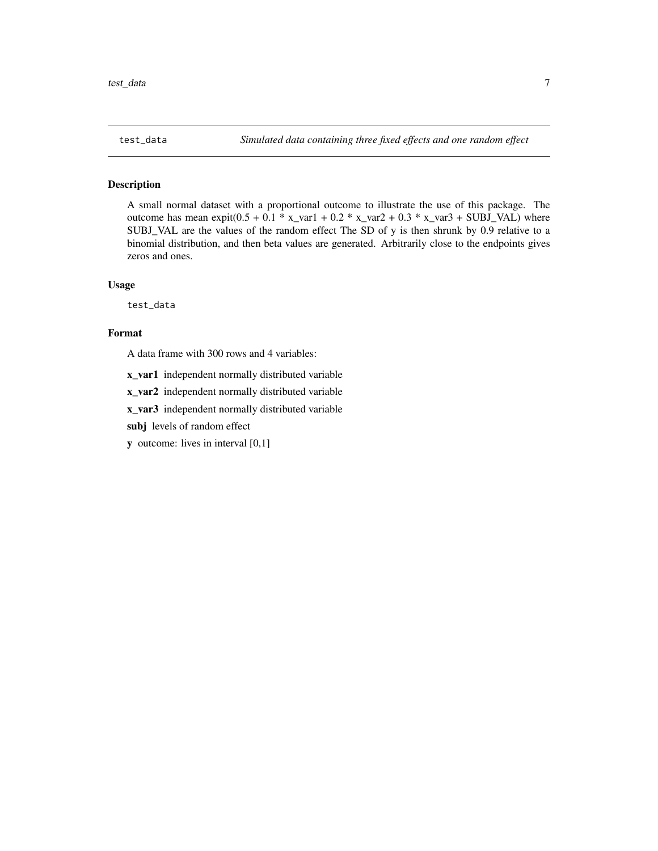<span id="page-6-0"></span>

#### Description

A small normal dataset with a proportional outcome to illustrate the use of this package. The outcome has mean expit( $0.5 + 0.1$  \* x\_var1 +  $0.2$  \* x\_var2 +  $0.3$  \* x\_var3 + SUBJ\_VAL) where SUBJ\_VAL are the values of the random effect The SD of y is then shrunk by 0.9 relative to a binomial distribution, and then beta values are generated. Arbitrarily close to the endpoints gives zeros and ones.

#### Usage

test\_data

#### Format

A data frame with 300 rows and 4 variables:

x\_var1 independent normally distributed variable

x\_var2 independent normally distributed variable

x\_var3 independent normally distributed variable

subj levels of random effect

y outcome: lives in interval [0,1]